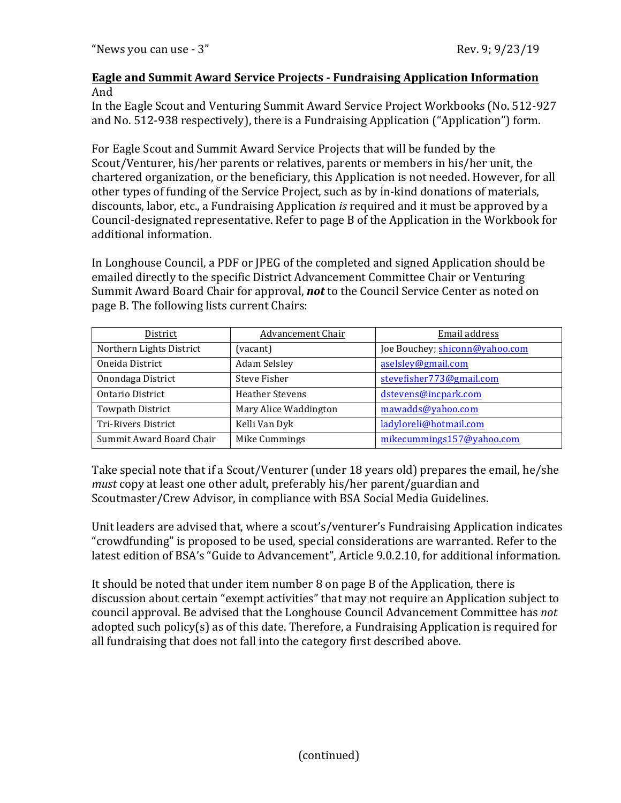## **<u>Eagle and Summit Award Service Projects - Fundraising Application Information</u>** And

In the Eagle Scout and Venturing Summit Award Service Project Workbooks (No. 512-927) and No. 512-938 respectively), there is a Fundraising Application ("Application") form.

For Eagle Scout and Summit Award Service Projects that will be funded by the Scout/Venturer, his/her parents or relatives, parents or members in his/her unit, the chartered organization, or the beneficiary, this Application is not needed. However, for all other types of funding of the Service Project, such as by in-kind donations of materials, discounts, labor, etc., a Fundraising Application *is* required and it must be approved by a Council-designated representative. Refer to page B of the Application in the Workbook for additional information.

In Longhouse Council, a PDF or JPEG of the completed and signed Application should be emailed directly to the specific District Advancement Committee Chair or Venturing Summit Award Board Chair for approval, **not** to the Council Service Center as noted on page B. The following lists current Chairs:

| District                 | Advancement Chair      | Email address                  |
|--------------------------|------------------------|--------------------------------|
| Northern Lights District | (vacant)               | Joe Bouchey; shiconn@yahoo.com |
| Oneida District          | Adam Selsley           | aselsley@gmail.com             |
| Onondaga District        | <b>Steve Fisher</b>    | stevefisher773@gmail.com       |
| Ontario District         | <b>Heather Stevens</b> | dstevens@incpark.com           |
| <b>Towpath District</b>  | Mary Alice Waddington  | mawadds@yahoo.com              |
| Tri-Rivers District      | Kelli Van Dyk          | ladyloreli@hotmail.com         |
| Summit Award Board Chair | Mike Cummings          | mikecummings157@yahoo.com      |

Take special note that if a Scout/Venturer (under 18 years old) prepares the email, he/she *must* copy at least one other adult, preferably his/her parent/guardian and Scoutmaster/Crew Advisor, in compliance with BSA Social Media Guidelines.

Unit leaders are advised that, where a scout's/venturer's Fundraising Application indicates "crowdfunding" is proposed to be used, special considerations are warranted. Refer to the latest edition of BSA's "Guide to Advancement", Article 9.0.2.10, for additional information.

It should be noted that under item number 8 on page B of the Application, there is discussion about certain "exempt activities" that may not require an Application subject to council approval. Be advised that the Longhouse Council Advancement Committee has *not* adopted such policy(s) as of this date. Therefore, a Fundraising Application is required for all fundraising that does not fall into the category first described above.